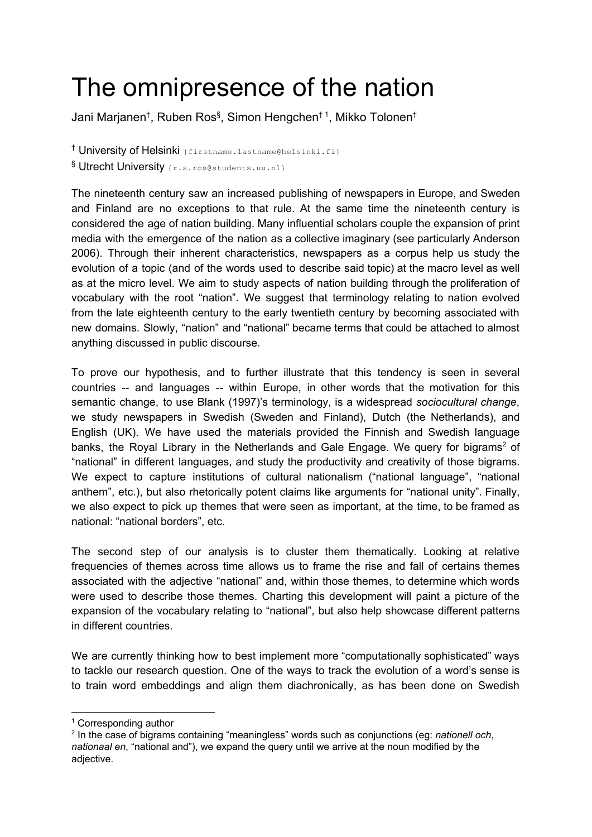## The omnipresence of the nation

Jani Marjanen<sup>†</sup>, Ruben Ros<sup>§</sup>, Simon Hengchen<sup>† 1</sup>, Mikko Tolonen<sup>†</sup>

<sup>†</sup> University of Helsinki {firstname.lastname@helsinki.fi} § Utrecht University {r.s.ros@students.uu.nl}

The nineteenth century saw an increased publishing of newspapers in Europe, and Sweden and Finland are no exceptions to that rule. At the same time the nineteenth century is considered the age of nation building. Many influential scholars couple the expansion of print media with the emergence of the nation as a collective imaginary (see particularly Anderson 2006). Through their inherent characteristics, newspapers as a corpus help us study the evolution of a topic (and of the words used to describe said topic) at the macro level as well as at the micro level. We aim to study aspects of nation building through the proliferation of vocabulary with the root "nation". We suggest that terminology relating to nation evolved from the late eighteenth century to the early twentieth century by becoming associated with new domains. Slowly, "nation" and "national" became terms that could be attached to almost anything discussed in public discourse.

To prove our hypothesis, and to further illustrate that this tendency is seen in several countries -- and languages -- within Europe, in other words that the motivation for this semantic change, to use Blank (1997)'s terminology, is a widespread *sociocultural change*, we study newspapers in Swedish (Sweden and Finland), Dutch (the Netherlands), and English (UK). We have used the materials provided the Finnish and Swedish language banks, the Royal Library in the Netherlands and Gale Engage. We query for bigrams<sup>2</sup> of "national" in different languages, and study the productivity and creativity of those bigrams. We expect to capture institutions of cultural nationalism ("national language", "national anthem", etc.), but also rhetorically potent claims like arguments for "national unity". Finally, we also expect to pick up themes that were seen as important, at the time, to be framed as national: "national borders", etc.

The second step of our analysis is to cluster them thematically. Looking at relative frequencies of themes across time allows us to frame the rise and fall of certains themes associated with the adjective "national" and, within those themes, to determine which words were used to describe those themes. Charting this development will paint a picture of the expansion of the vocabulary relating to "national", but also help showcase different patterns in different countries.

We are currently thinking how to best implement more "computationally sophisticated" ways to tackle our research question. One of the ways to track the evolution of a word's sense is to train word embeddings and align them diachronically, as has been done on Swedish

<sup>1</sup> Corresponding author

<sup>2</sup> In the case of bigrams containing "meaningless" words such as conjunctions (eg: *nationell och*, *nationaal en*, "national and"), we expand the query until we arrive at the noun modified by the adjective.